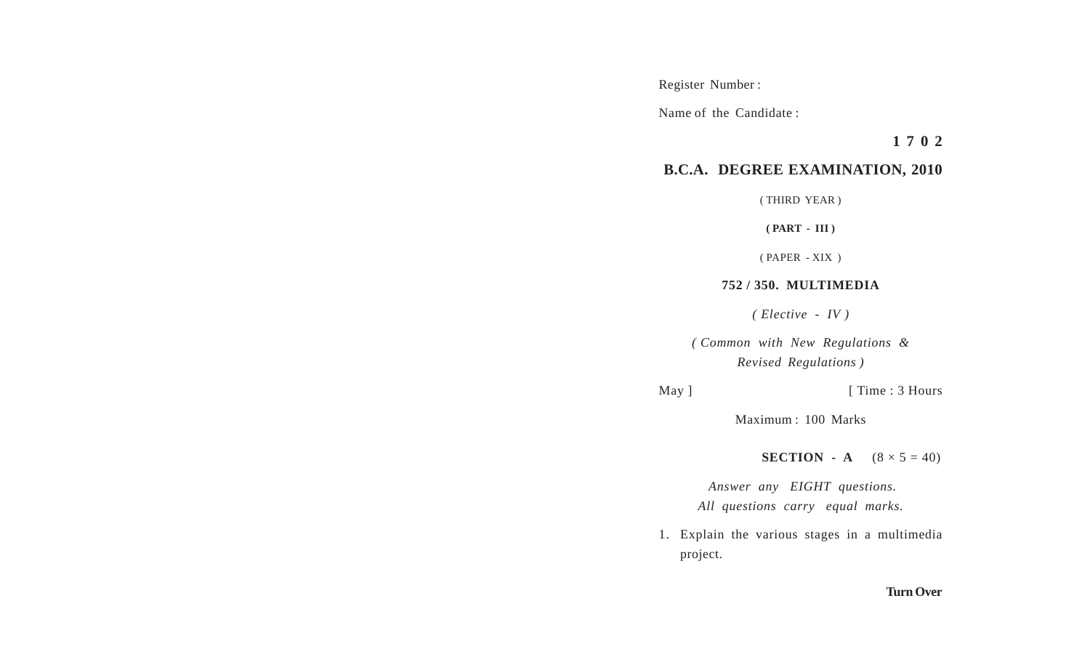Register Number :

Name of the Candidate :

**1 7 0 2**

## **B.C.A. DEGREE EXAMINATION, 2010**

( THIRD YEAR )

**( PART - III )**

( PAPER - XIX )

## **752 / 350. MULTIMEDIA**

*( Elective - IV )*

*( Common with New Regulations & Revised Regulations )*

## May ] [ Time : 3 Hours

Maximum : 100 Marks

**SECTION** - **A**  $(8 \times 5 = 40)$ 

 *Answer any EIGHT questions. All questions carry equal marks.*

1. Explain the various stages in a multimedia project.

## **Turn Over**